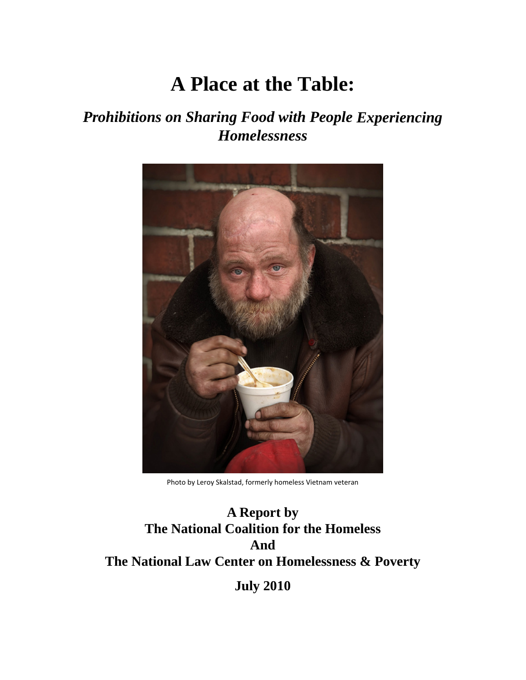# **A Place at the Table:**

# *Prohibitions on Sharing Food with People Experiencing Homelessness*



Photo by Leroy Skalstad, formerly homeless Vietnam veteran

**A Report by The National Coalition for the Homeless And The National Law Center on Homelessness & Poverty July 2010**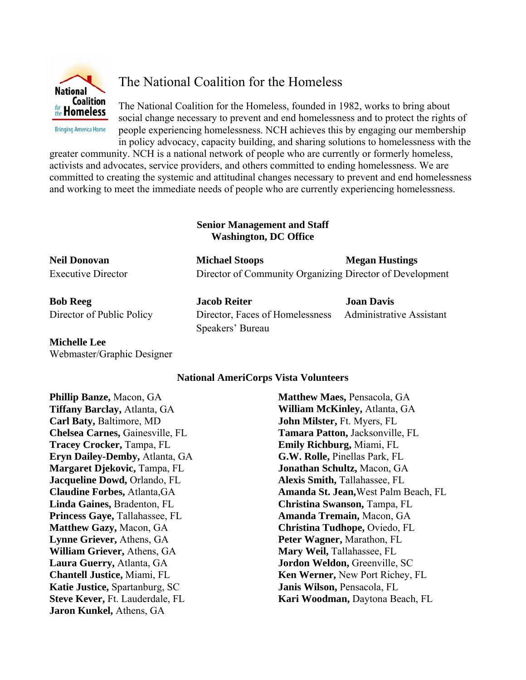

**Bringing America Home** 

The National Coalition for the Homeless

The National Coalition for the Homeless, founded in 1982, works to bring about social change necessary to prevent and end homelessness and to protect the rights of people experiencing homelessness. NCH achieves this by engaging our membership in policy advocacy, capacity building, and sharing solutions to homelessness with the

greater community. NCH is a national network of people who are currently or formerly homeless, activists and advocates, service providers, and others committed to ending homelessness. We are committed to creating the systemic and attitudinal changes necessary to prevent and end homelessness and working to meet the immediate needs of people who are currently experiencing homelessness.

#### **Senior Management and Staff Washington, DC Office**

| <b>Neil Donovan</b>       | <b>Michael Stoops</b>                                    | <b>Megan Hustings</b>    |  |
|---------------------------|----------------------------------------------------------|--------------------------|--|
| <b>Executive Director</b> | Director of Community Organizing Director of Development |                          |  |
| <b>Bob Reeg</b>           | <b>Jacob Reiter</b>                                      | <b>Joan Davis</b>        |  |
| Director of Dublic Deligy | Director Laces of Hamplessness                           | Administrative Assistant |  |

Director of Public Policy Director, Faces of Homelessness Administrative Assistant Speakers' Bureau

# **Michelle Lee**

Webmaster/Graphic Designer

# **National AmeriCorps Vista Volunteers**

**Phillip Banze,** Macon, GA **Tiffany Barclay,** Atlanta, GA **Carl Baty,** Baltimore, MD **Chelsea Carnes,** Gainesville, FL **Tracey Crocker,** Tampa, FL **Eryn Dailey-Demby,** Atlanta, GA **Margaret Djekovic,** Tampa, FL **Jacqueline Dowd,** Orlando, FL **Claudine Forbes,** Atlanta,GA **Linda Gaines,** Bradenton, FL **Princess Gaye,** Tallahassee, FL **Matthew Gazy,** Macon, GA **Lynne Griever,** Athens, GA **William Griever,** Athens, GA **Laura Guerry,** Atlanta, GA **Chantell Justice,** Miami, FL **Katie Justice,** Spartanburg, SC **Steve Kever,** Ft. Lauderdale, FL **Jaron Kunkel,** Athens, GA

**Matthew Maes,** Pensacola, GA **William McKinley,** Atlanta, GA **John Milster,** Ft. Myers, FL **Tamara Patton,** Jacksonville, FL **Emily Richburg,** Miami, FL **G.W. Rolle,** Pinellas Park, FL **Jonathan Schultz,** Macon, GA **Alexis Smith,** Tallahassee, FL **Amanda St. Jean,**West Palm Beach, FL **Christina Swanson,** Tampa, FL **Amanda Tremain,** Macon, GA **Christina Tudhope,** Oviedo, FL **Peter Wagner,** Marathon, FL **Mary Weil,** Tallahassee, FL **Jordon Weldon,** Greenville, SC **Ken Werner,** New Port Richey, FL **Janis Wilson,** Pensacola, FL **Kari Woodman,** Daytona Beach, FL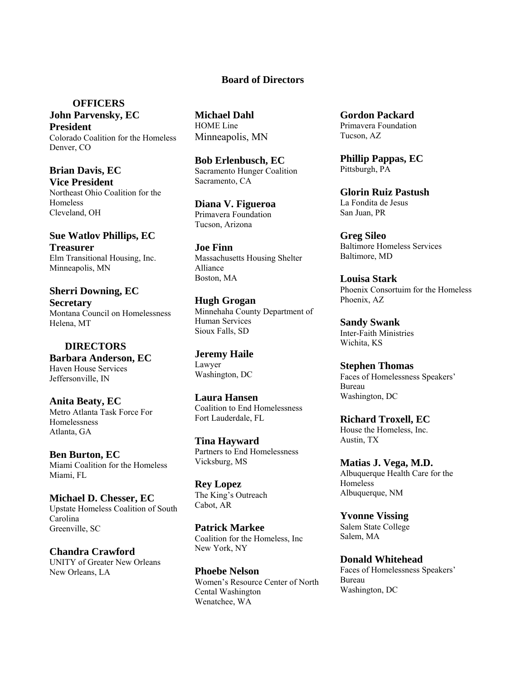#### **Board of Directors**

 **OFFICERS John Parvensky, EC** 

**President**  Colorado Coalition for the Homeless Denver, CO

**Brian Davis, EC Vice President**  Northeast Ohio Coalition for the Homeless Cleveland, OH

**Sue Watlov Phillips, EC Treasurer**  Elm Transitional Housing, Inc. Minneapolis, MN

**Sherri Downing, EC Secretary**  Montana Council on Homelessness Helena, MT

 **DIRECTORS Barbara Anderson, EC**  Haven House Services Jeffersonville, IN

**Anita Beaty, EC**  Metro Atlanta Task Force For Homelessness Atlanta, GA

**Ben Burton, EC**  Miami Coalition for the Homeless Miami, FL

**Michael D. Chesser, EC**  Upstate Homeless Coalition of South Carolina Greenville, SC

**Chandra Crawford**  UNITY of Greater New Orleans New Orleans, LA

**Michael Dahl**  HOME Line Minneapolis, MN

**Bob Erlenbusch, EC**  Sacramento Hunger Coalition Sacramento, CA

**Diana V. Figueroa**  Primavera Foundation Tucson, Arizona

**Joe Finn** Massachusetts Housing Shelter Alliance Boston, MA

**Hugh Grogan**  Minnehaha County Department of Human Services Sioux Falls, SD

**Jeremy Haile**  Lawyer Washington, DC

**Laura Hansen**  Coalition to End Homelessness Fort Lauderdale, FL

**Tina Hayward**  Partners to End Homelessness Vicksburg, MS

**Rey Lopez**  The King's Outreach Cabot, AR

**Patrick Markee**  Coalition for the Homeless, Inc New York, NY

**Phoebe Nelson**  Women's Resource Center of North Cental Washington Wenatchee, WA

**Gordon Packard**  Primavera Foundation Tucson, AZ

**Phillip Pappas, EC**  Pittsburgh, PA

**Glorin Ruiz Pastush**  La Fondita de Jesus San Juan, PR

**Greg Sileo**  Baltimore Homeless Services Baltimore, MD

**Louisa Stark**  Phoenix Consortuim for the Homeless Phoenix, AZ

**Sandy Swank**  Inter-Faith Ministries Wichita, KS

**Stephen Thomas**  Faces of Homelessness Speakers' Bureau Washington, DC

**Richard Troxell, EC**  House the Homeless, Inc. Austin, TX

**Matias J. Vega, M.D.**  Albuquerque Health Care for the Homeless Albuquerque, NM

**Yvonne Vissing**  Salem State College Salem, MA

**Donald Whitehead**  Faces of Homelessness Speakers' Bureau Washington, DC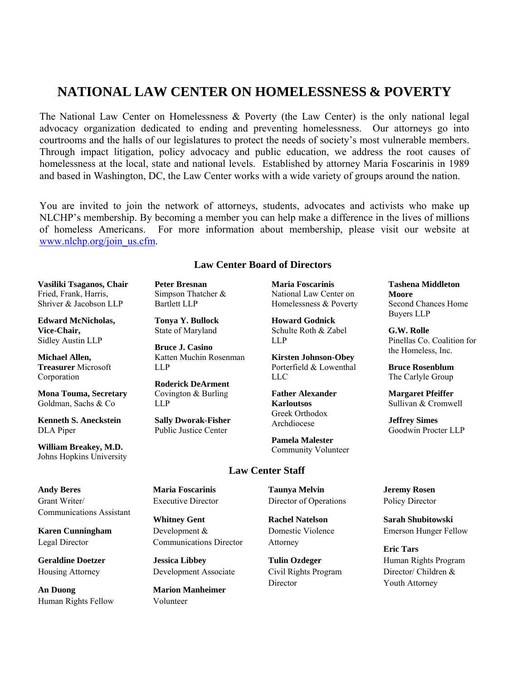# **NATIONAL LAW CENTER ON HOMELESSNESS & POVERTY**

The National Law Center on Homelessness & Poverty (the Law Center) is the only national legal advocacy organization dedicated to ending and preventing homelessness. Our attorneys go into courtrooms and the halls of our legislatures to protect the needs of society's most vulnerable members. Through impact litigation, policy advocacy and public education, we address the root causes of homelessness at the local, state and national levels. Established by attorney Maria Foscarinis in 1989 and based in Washington, DC, the Law Center works with a wide variety of groups around the nation.

You are invited to join the network of attorneys, students, advocates and activists who make up NLCHP's membership. By becoming a member you can help make a difference in the lives of millions of homeless Americans. For more information about membership, please visit our website at www.nlchp.org/join\_us.cfm.

#### **Law Center Board of Directors**

**Vasiliki Tsaganos, Chair** Fried, Frank, Harris, Shriver & Jacobson LLP

**Edward McNicholas, Vice-Chair,**  Sidley Austin LLP

**Michael Allen, Treasurer** Microsoft Corporation

**Mona Touma, Secretary** Goldman, Sachs & Co

**Kenneth S. Aneckstein**  DLA Piper

**William Breakey, M.D.** Johns Hopkins University **Peter Bresnan** Simpson Thatcher & Bartlett LLP

**Tonya Y. Bullock** State of Maryland

**Bruce J. Casino** Katten Muchin Rosenman LLP

**Roderick DeArment** Covington & Burling LLP

**Sally Dworak-Fisher** Public Justice Center

**Maria Foscarinis**  National Law Center on Homelessness & Poverty

**Howard Godnick**  Schulte Roth & Zabel LLP

**Kirsten Johnson-Obey**  Porterfield & Lowenthal LLC

**Father Alexander Karloutsos** Greek Orthodox Archdiocese

**Pamela Malester** Community Volunteer

#### **Bruce Rosenblum**  The Carlyle Group **Margaret Pfeiffer**

**Tashena Middleton** 

Second Chances Home

Pinellas Co. Coalition for the Homeless, Inc.

**Moore**

Buyers LLP **G.W. Rolle**

Sullivan & Cromwell

**Jeffrey Simes**  Goodwin Procter LLP

#### **Law Center Staff**

**Maria Foscarinis**  Executive Director

> **Whitney Gent**  Development & Communications Director

**Jessica Libbey**  Development Associate

**Marion Manheimer**  Volunteer

**Taunya Melvin**  Director of Operations

**Rachel Natelson**  Domestic Violence Attorney

**Tulin Ozdeger**  Civil Rights Program Director

**Jeremy Rosen**  Policy Director

**Sarah Shubitowski** Emerson Hunger Fellow

**Eric Tars**  Human Rights Program Director/ Children & Youth Attorney

**Andy Beres**  Grant Writer/ Communications Assistant

**Karen Cunningham**  Legal Director

**Geraldine Doetzer**  Housing Attorney

**An Duong**  Human Rights Fellow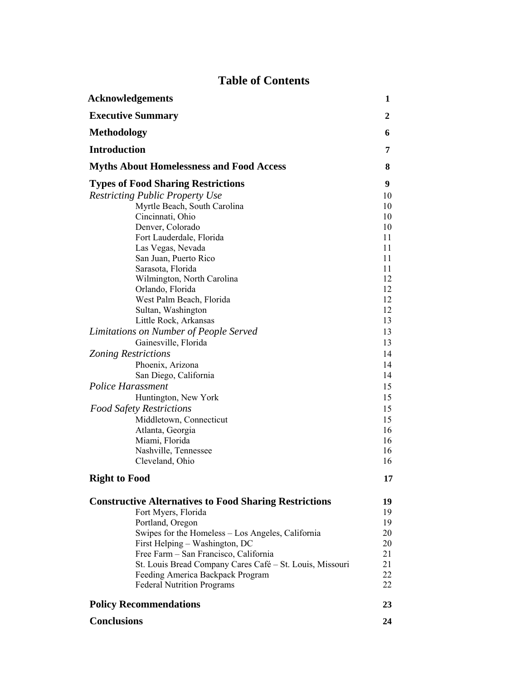# **Table of Contents**

| <b>Acknowledgements</b>                                       | 1                |
|---------------------------------------------------------------|------------------|
| <b>Executive Summary</b>                                      | $\boldsymbol{2}$ |
| <b>Methodology</b>                                            | 6                |
| <b>Introduction</b>                                           | 7                |
| <b>Myths About Homelessness and Food Access</b>               | 8                |
| <b>Types of Food Sharing Restrictions</b>                     | 9                |
| <b>Restricting Public Property Use</b>                        | 10               |
| Myrtle Beach, South Carolina                                  | 10               |
| Cincinnati, Ohio                                              | 10               |
| Denver, Colorado                                              | 10               |
| Fort Lauderdale, Florida                                      | 11               |
| Las Vegas, Nevada                                             | 11               |
| San Juan, Puerto Rico                                         | 11               |
| Sarasota, Florida                                             | 11               |
| Wilmington, North Carolina                                    | 12               |
| Orlando, Florida                                              | 12               |
| West Palm Beach, Florida<br>Sultan, Washington                | 12<br>12         |
| Little Rock, Arkansas                                         | 13               |
| Limitations on Number of People Served                        | 13               |
|                                                               | 13               |
| Gainesville, Florida                                          |                  |
| <b>Zoning Restrictions</b>                                    | 14               |
| Phoenix, Arizona                                              | 14<br>14         |
| San Diego, California                                         |                  |
| <b>Police Harassment</b>                                      | 15               |
| Huntington, New York                                          | 15               |
| <b>Food Safety Restrictions</b>                               | 15               |
| Middletown, Connecticut                                       | 15               |
| Atlanta, Georgia                                              | 16               |
| Miami, Florida                                                | 16<br>16         |
| Nashville, Tennessee<br>Cleveland, Ohio                       | 16               |
| <b>Right to Food</b>                                          | 17               |
|                                                               |                  |
| <b>Constructive Alternatives to Food Sharing Restrictions</b> | 19               |
| Fort Myers, Florida                                           | 19               |
| Portland, Oregon                                              | 19               |
| Swipes for the Homeless – Los Angeles, California             | 20               |
| First Helping - Washington, DC                                | 20               |
| Free Farm - San Francisco, California                         | 21               |
| St. Louis Bread Company Cares Café – St. Louis, Missouri      | 21               |
| Feeding America Backpack Program                              | 22               |
| <b>Federal Nutrition Programs</b>                             | 22               |
| <b>Policy Recommendations</b>                                 | 23               |
| <b>Conclusions</b>                                            | 24               |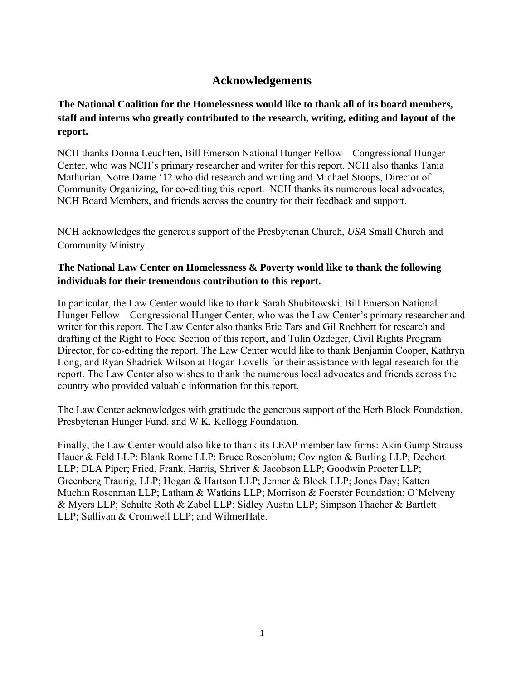# **Acknowledgements**

# **The National Coalition for the Homelessness would like to thank all of its board members, staff and interns who greatly contributed to the research, writing, editing and layout of the report.**

NCH thanks Donna Leuchten, Bill Emerson National Hunger Fellow—Congressional Hunger Center, who was NCH's primary researcher and writer for this report. NCH also thanks Tania Mathurian, Notre Dame '12 who did research and writing and Michael Stoops, Director of Community Organizing, for co-editing this report. NCH thanks its numerous local advocates, NCH Board Members, and friends across the country for their feedback and support.

NCH acknowledges the generous support of the Presbyterian Church, *USA* Small Church and Community Ministry.

## **The National Law Center on Homelessness & Poverty would like to thank the following individuals for their tremendous contribution to this report.**

In particular, the Law Center would like to thank Sarah Shubitowski, Bill Emerson National Hunger Fellow—Congressional Hunger Center, who was the Law Center's primary researcher and writer for this report. The Law Center also thanks Eric Tars and Gil Rochbert for research and drafting of the Right to Food Section of this report, and Tulin Ozdeger, Civil Rights Program Director, for co-editing the report. The Law Center would like to thank Benjamin Cooper, Kathryn Long, and Ryan Shadrick Wilson at Hogan Lovells for their assistance with legal research for the report. The Law Center also wishes to thank the numerous local advocates and friends across the country who provided valuable information for this report.

The Law Center acknowledges with gratitude the generous support of the Herb Block Foundation, Presbyterian Hunger Fund, and W.K. Kellogg Foundation.

Finally, the Law Center would also like to thank its LEAP member law firms: Akin Gump Strauss Hauer & Feld LLP; Blank Rome LLP; Bruce Rosenblum; Covington & Burling LLP; Dechert LLP; DLA Piper; Fried, Frank, Harris, Shriver & Jacobson LLP; Goodwin Procter LLP; Greenberg Traurig, LLP; Hogan & Hartson LLP; Jenner & Block LLP; Jones Day; Katten Muchin Rosenman LLP; Latham & Watkins LLP; Morrison & Foerster Foundation; O'Melveny & Myers LLP; Schulte Roth & Zabel LLP; Sidley Austin LLP; Simpson Thacher & Bartlett LLP; Sullivan & Cromwell LLP; and WilmerHale.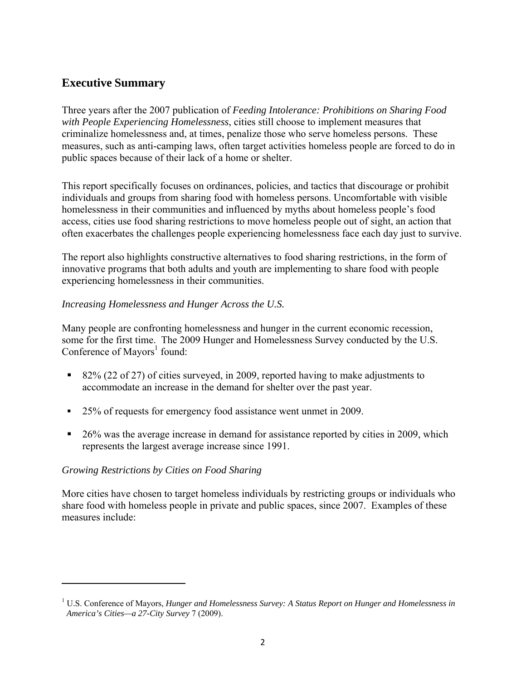# **Executive Summary**

Three years after the 2007 publication of *Feeding Intolerance: Prohibitions on Sharing Food with People Experiencing Homelessness*, cities still choose to implement measures that criminalize homelessness and, at times, penalize those who serve homeless persons. These measures, such as anti-camping laws, often target activities homeless people are forced to do in public spaces because of their lack of a home or shelter.

This report specifically focuses on ordinances, policies, and tactics that discourage or prohibit individuals and groups from sharing food with homeless persons. Uncomfortable with visible homelessness in their communities and influenced by myths about homeless people's food access, cities use food sharing restrictions to move homeless people out of sight, an action that often exacerbates the challenges people experiencing homelessness face each day just to survive.

The report also highlights constructive alternatives to food sharing restrictions, in the form of innovative programs that both adults and youth are implementing to share food with people experiencing homelessness in their communities.

#### *Increasing Homelessness and Hunger Across the U.S.*

Many people are confronting homelessness and hunger in the current economic recession, some for the first time. The 2009 Hunger and Homelessness Survey conducted by the U.S. Conference of Mayors<sup>1</sup> found:

- 82% (22 of 27) of cities surveyed, in 2009, reported having to make adjustments to accommodate an increase in the demand for shelter over the past year.
- <sup>25%</sup> of requests for emergency food assistance went unmet in 2009.
- <sup>26%</sup> was the average increase in demand for assistance reported by cities in 2009, which represents the largest average increase since 1991.

#### *Growing Restrictions by Cities on Food Sharing*

More cities have chosen to target homeless individuals by restricting groups or individuals who share food with homeless people in private and public spaces, since 2007. Examples of these measures include:

<sup>&</sup>lt;sup>1</sup> U.S. Conference of Mayors, *Hunger and Homelessness Survey: A Status Report on Hunger and Homelessness in America's Cities—a 27-City Survey* 7 (2009).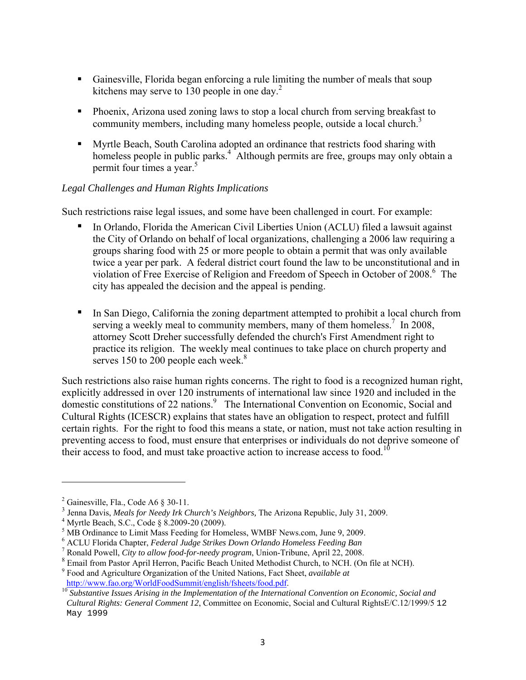- Gainesville, Florida began enforcing a rule limiting the number of meals that soup kitchens may serve to 130 people in one day.<sup>2</sup>
- Phoenix, Arizona used zoning laws to stop a local church from serving breakfast to community members, including many homeless people, outside a local church.<sup>3</sup>
- Myrtle Beach, South Carolina adopted an ordinance that restricts food sharing with homeless people in public parks.<sup>4</sup> Although permits are free, groups may only obtain a permit four times a year. $5$

#### *Legal Challenges and Human Rights Implications*

Such restrictions raise legal issues, and some have been challenged in court. For example:

- In Orlando, Florida the American Civil Liberties Union (ACLU) filed a lawsuit against the City of Orlando on behalf of local organizations, challenging a 2006 law requiring a groups sharing food with 25 or more people to obtain a permit that was only available twice a year per park. A federal district court found the law to be unconstitutional and in violation of Free Exercise of Religion and Freedom of Speech in October of 2008.<sup>6</sup> The city has appealed the decision and the appeal is pending.
- In San Diego, California the zoning department attempted to prohibit a local church from serving a weekly meal to community members, many of them homeless.<sup>7</sup> In 2008, attorney Scott Dreher successfully defended the church's First Amendment right to practice its religion. The weekly meal continues to take place on church property and serves 150 to 200 people each week. $8$

Such restrictions also raise human rights concerns. The right to food is a recognized human right, explicitly addressed in over 120 instruments of international law since 1920 and included in the domestic constitutions of 22 nations.<sup>9</sup> The International Convention on Economic, Social and Cultural Rights (ICESCR) explains that states have an obligation to respect, protect and fulfill certain rights. For the right to food this means a state, or nation, must not take action resulting in preventing access to food, must ensure that enterprises or individuals do not deprive someone of their access to food, and must take proactive action to increase access to food.<sup>10</sup>

<sup>&</sup>lt;sup>2</sup> Gainesville, Fla., Code A6  $\S$  30-11.

<sup>&</sup>lt;sup>3</sup> Jenna Davis, *Meals for Needy Irk Church's Neighbors*, The Arizona Republic, July 31, 2009.

 $4$  Myrtle Beach, S.C., Code § 8.2009-20 (2009).

<sup>&</sup>lt;sup>5</sup> MB Ordinance to Limit Mass Feeding for Homeless, WMBF News.com, June 9, 2009.

<sup>&</sup>lt;sup>6</sup> ACLU Florida Chapter, *Federal Judge Strikes Down Orlando Homeless Feeding Ban*<br><sup>7</sup> Bonald Bawall, *City to allow food for needy program*, Union Tribung, April 22, 2008

Ronald Powell, *City to allow food-for-needy program*, Union-Tribune, April 22, 2008.

<sup>8</sup> Email from Pastor April Herron, Pacific Beach United Methodist Church, to NCH. (On file at NCH).

<sup>9</sup> Food and Agriculture Organization of the United Nations, Fact Sheet, *available at* 

http://www.fao.org/WorldFoodSummit/english/fsheets/food.pdf. 10 *Substantive Issues Arising in the Implementation of the International Convention on Economic, Social and Cultural Rights: General Comment 12*, Committee on Economic, Social and Cultural RightsE/C.12/1999/5 12 May 1999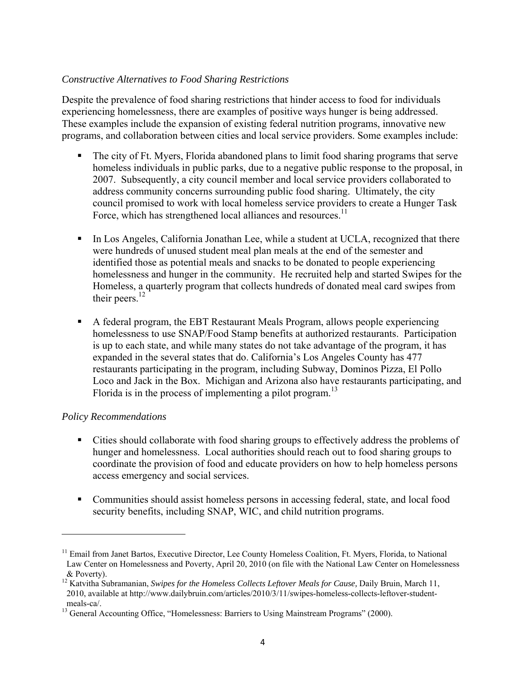### *Constructive Alternatives to Food Sharing Restrictions*

Despite the prevalence of food sharing restrictions that hinder access to food for individuals experiencing homelessness, there are examples of positive ways hunger is being addressed. These examples include the expansion of existing federal nutrition programs, innovative new programs, and collaboration between cities and local service providers. Some examples include:

- The city of Ft. Myers, Florida abandoned plans to limit food sharing programs that serve homeless individuals in public parks, due to a negative public response to the proposal, in 2007. Subsequently, a city council member and local service providers collaborated to address community concerns surrounding public food sharing. Ultimately, the city council promised to work with local homeless service providers to create a Hunger Task Force, which has strengthened local alliances and resources.<sup>11</sup>
- In Los Angeles, California Jonathan Lee, while a student at UCLA, recognized that there were hundreds of unused student meal plan meals at the end of the semester and identified those as potential meals and snacks to be donated to people experiencing homelessness and hunger in the community. He recruited help and started Swipes for the Homeless, a quarterly program that collects hundreds of donated meal card swipes from their peers.<sup>12</sup>
- A federal program, the EBT Restaurant Meals Program, allows people experiencing homelessness to use SNAP/Food Stamp benefits at authorized restaurants. Participation is up to each state, and while many states do not take advantage of the program, it has expanded in the several states that do. California's Los Angeles County has 477 restaurants participating in the program, including Subway, Dominos Pizza, El Pollo Loco and Jack in the Box. Michigan and Arizona also have restaurants participating, and Florida is in the process of implementing a pilot program.<sup>13</sup>

#### *Policy Recommendations*

- Cities should collaborate with food sharing groups to effectively address the problems of hunger and homelessness. Local authorities should reach out to food sharing groups to coordinate the provision of food and educate providers on how to help homeless persons access emergency and social services.
- Communities should assist homeless persons in accessing federal, state, and local food security benefits, including SNAP, WIC, and child nutrition programs.

<sup>&</sup>lt;sup>11</sup> Email from Janet Bartos, Executive Director, Lee County Homeless Coalition, Ft. Myers, Florida, to National Law Center on Homelessness and Poverty, April 20, 2010 (on file with the National Law Center on Homelessness & Poverty).

<sup>12</sup> Katvitha Subramanian, *Swipes for the Homeless Collects Leftover Meals for Cause,* Daily Bruin, March 11, 2010, available at http://www.dailybruin.com/articles/2010/3/11/swipes-homeless-collects-leftover-studentmeals-ca/.

<sup>&</sup>lt;sup>13</sup> General Accounting Office, "Homelessness: Barriers to Using Mainstream Programs" (2000).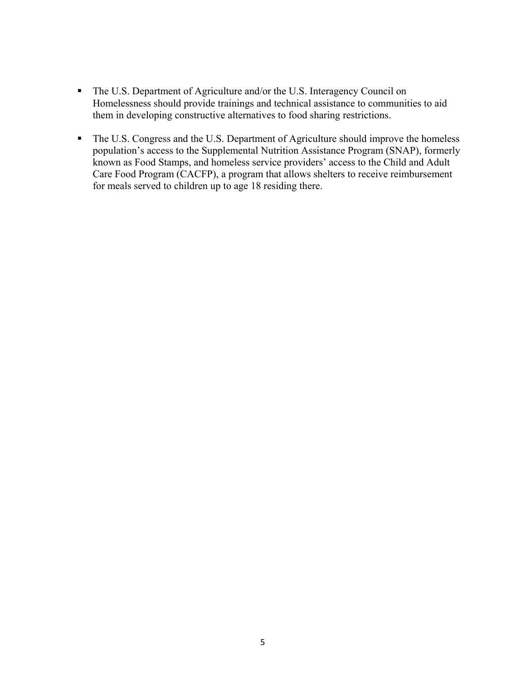- The U.S. Department of Agriculture and/or the U.S. Interagency Council on Homelessness should provide trainings and technical assistance to communities to aid them in developing constructive alternatives to food sharing restrictions.
- The U.S. Congress and the U.S. Department of Agriculture should improve the homeless population's access to the Supplemental Nutrition Assistance Program (SNAP), formerly known as Food Stamps, and homeless service providers' access to the Child and Adult Care Food Program (CACFP), a program that allows shelters to receive reimbursement for meals served to children up to age 18 residing there.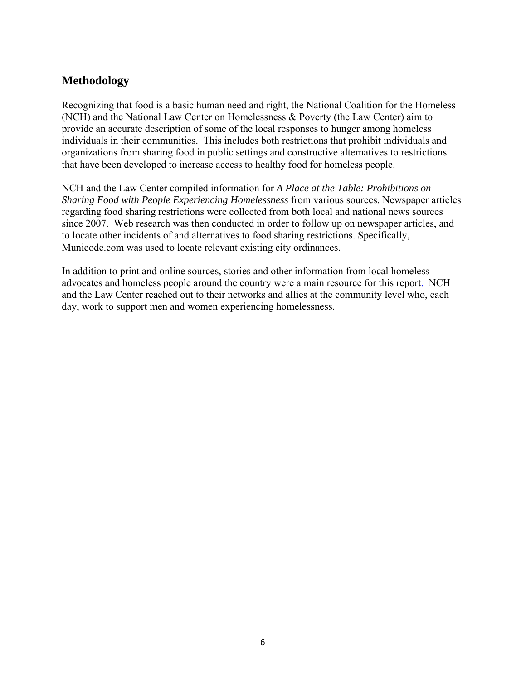# **Methodology**

Recognizing that food is a basic human need and right, the National Coalition for the Homeless (NCH) and the National Law Center on Homelessness & Poverty (the Law Center) aim to provide an accurate description of some of the local responses to hunger among homeless individuals in their communities. This includes both restrictions that prohibit individuals and organizations from sharing food in public settings and constructive alternatives to restrictions that have been developed to increase access to healthy food for homeless people.

NCH and the Law Center compiled information for *A Place at the Table: Prohibitions on Sharing Food with People Experiencing Homelessness* from various sources. Newspaper articles regarding food sharing restrictions were collected from both local and national news sources since 2007. Web research was then conducted in order to follow up on newspaper articles, and to locate other incidents of and alternatives to food sharing restrictions. Specifically, Municode.com was used to locate relevant existing city ordinances.

In addition to print and online sources, stories and other information from local homeless advocates and homeless people around the country were a main resource for this report. NCH and the Law Center reached out to their networks and allies at the community level who, each day, work to support men and women experiencing homelessness.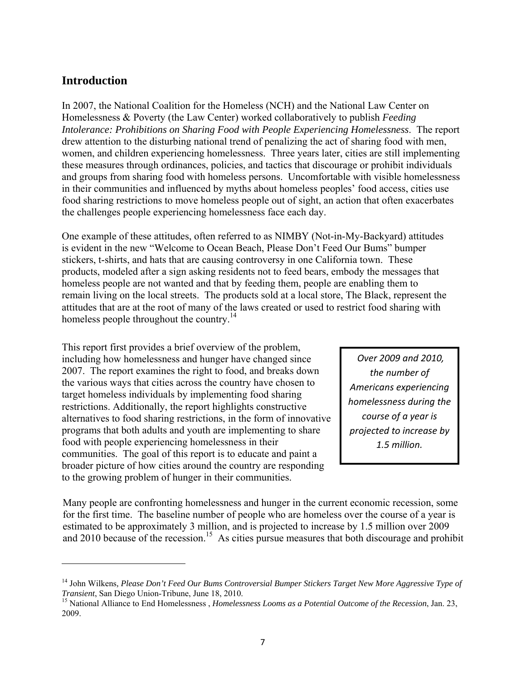# **Introduction**

In 2007, the National Coalition for the Homeless (NCH) and the National Law Center on Homelessness & Poverty (the Law Center) worked collaboratively to publish *Feeding Intolerance: Prohibitions on Sharing Food with People Experiencing Homelessness*. The report drew attention to the disturbing national trend of penalizing the act of sharing food with men, women, and children experiencing homelessness. Three years later, cities are still implementing these measures through ordinances, policies, and tactics that discourage or prohibit individuals and groups from sharing food with homeless persons. Uncomfortable with visible homelessness in their communities and influenced by myths about homeless peoples' food access, cities use food sharing restrictions to move homeless people out of sight, an action that often exacerbates the challenges people experiencing homelessness face each day.

One example of these attitudes, often referred to as NIMBY (Not-in-My-Backyard) attitudes is evident in the new "Welcome to Ocean Beach, Please Don't Feed Our Bums" bumper stickers, t-shirts, and hats that are causing controversy in one California town. These products, modeled after a sign asking residents not to feed bears, embody the messages that homeless people are not wanted and that by feeding them, people are enabling them to remain living on the local streets. The products sold at a local store, The Black, represent the attitudes that are at the root of many of the laws created or used to restrict food sharing with homeless people throughout the country.<sup>14</sup>

This report first provides a brief overview of the problem, including how homelessness and hunger have changed since 2007. The report examines the right to food, and breaks down the various ways that cities across the country have chosen to target homeless individuals by implementing food sharing restrictions. Additionally, the report highlights constructive alternatives to food sharing restrictions, in the form of innovative programs that both adults and youth are implementing to share food with people experiencing homelessness in their communities. The goal of this report is to educate and paint a broader picture of how cities around the country are responding to the growing problem of hunger in their communities.

*Over 2009 and 2010, the number of Americans experiencing homelessness during the course of a year is projected to increase by 1.5 million.*

Many people are confronting homelessness and hunger in the current economic recession, some for the first time. The baseline number of people who are homeless over the course of a year is estimated to be approximately 3 million, and is projected to increase by 1.5 million over 2009 and 2010 because of the recession.<sup>15</sup> As cities pursue measures that both discourage and prohibit

<sup>&</sup>lt;sup>14</sup> John Wilkens, *Please Don't Feed Our Bums Controversial Bumper Stickers Target New More Aggressive Type of Transient, San Diego Union-Tribune, June 18, 2010.* 

<sup>&</sup>lt;sup>15</sup> National Alliance to End Homelessness , *Homelessness Looms as a Potential Outcome of the Recession*, Jan. 23, 2009.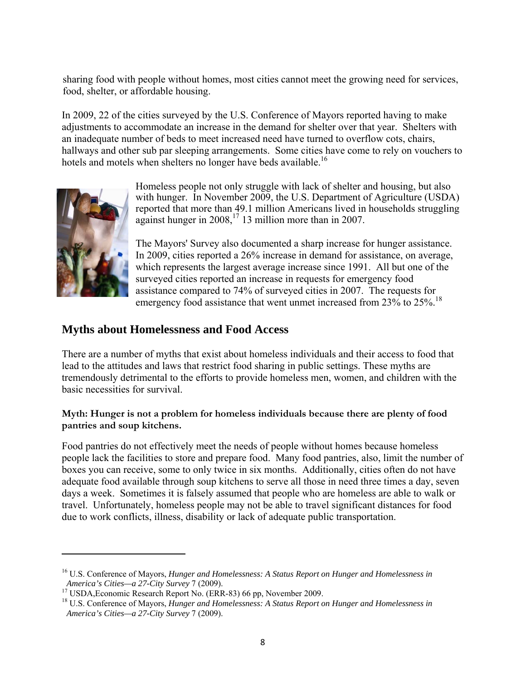sharing food with people without homes, most cities cannot meet the growing need for services, food, shelter, or affordable housing.

In 2009, 22 of the cities surveyed by the U.S. Conference of Mayors reported having to make adjustments to accommodate an increase in the demand for shelter over that year. Shelters with an inadequate number of beds to meet increased need have turned to overflow cots, chairs, hallways and other sub par sleeping arrangements. Some cities have come to rely on vouchers to hotels and motels when shelters no longer have beds available.<sup>16</sup>



Homeless people not only struggle with lack of shelter and housing, but also with hunger. In November 2009, the U.S. Department of Agriculture (USDA) reported that more than 49.1 million Americans lived in households struggling against hunger in 2008,<sup>17</sup> 13 million more than in 2007.

The Mayors' Survey also documented a sharp increase for hunger assistance. In 2009, cities reported a 26% increase in demand for assistance, on average, which represents the largest average increase since 1991. All but one of the surveyed cities reported an increase in requests for emergency food assistance compared to 74% of surveyed cities in 2007. The requests for emergency food assistance that went unmet increased from 23% to 25%.<sup>18</sup>

# **Myths about Homelessness and Food Access**

There are a number of myths that exist about homeless individuals and their access to food that lead to the attitudes and laws that restrict food sharing in public settings. These myths are tremendously detrimental to the efforts to provide homeless men, women, and children with the basic necessities for survival.

#### **Myth: Hunger is not a problem for homeless individuals because there are plenty of food pantries and soup kitchens.**

Food pantries do not effectively meet the needs of people without homes because homeless people lack the facilities to store and prepare food. Many food pantries, also, limit the number of boxes you can receive, some to only twice in six months. Additionally, cities often do not have adequate food available through soup kitchens to serve all those in need three times a day, seven days a week. Sometimes it is falsely assumed that people who are homeless are able to walk or travel. Unfortunately, homeless people may not be able to travel significant distances for food due to work conflicts, illness, disability or lack of adequate public transportation.

<sup>16</sup> U.S. Conference of Mayors, *Hunger and Homelessness: A Status Report on Hunger and Homelessness in America's Cities—a 27-City Survey* 7 (2009).<br><sup>17</sup> USDA,Economic Research Report No. (ERR-83) 66 pp, November 2009.

<sup>18</sup> U.S. Conference of Mayors, *Hunger and Homelessness: A Status Report on Hunger and Homelessness in America's Cities—a 27-City Survey* 7 (2009).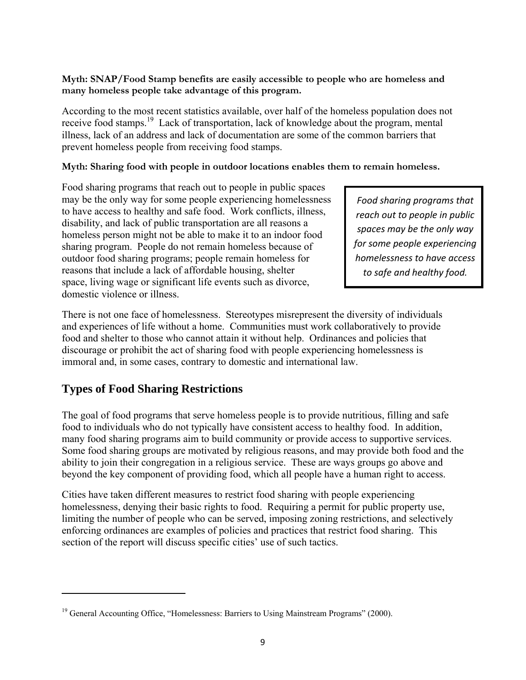#### **Myth: SNAP/Food Stamp benefits are easily accessible to people who are homeless and many homeless people take advantage of this program.**

According to the most recent statistics available, over half of the homeless population does not receive food stamps.19 Lack of transportation, lack of knowledge about the program, mental illness, lack of an address and lack of documentation are some of the common barriers that prevent homeless people from receiving food stamps.

#### **Myth: Sharing food with people in outdoor locations enables them to remain homeless.**

Food sharing programs that reach out to people in public spaces may be the only way for some people experiencing homelessness to have access to healthy and safe food. Work conflicts, illness, disability, and lack of public transportation are all reasons a homeless person might not be able to make it to an indoor food sharing program. People do not remain homeless because of outdoor food sharing programs; people remain homeless for reasons that include a lack of affordable housing, shelter space, living wage or significant life events such as divorce, domestic violence or illness.

*Food sharing programs that reach out to people in public spaces may be the only way for some people experiencing homelessness to have access to safe and healthy food.*

There is not one face of homelessness. Stereotypes misrepresent the diversity of individuals and experiences of life without a home. Communities must work collaboratively to provide food and shelter to those who cannot attain it without help. Ordinances and policies that discourage or prohibit the act of sharing food with people experiencing homelessness is immoral and, in some cases, contrary to domestic and international law.

# **Types of Food Sharing Restrictions**

The goal of food programs that serve homeless people is to provide nutritious, filling and safe food to individuals who do not typically have consistent access to healthy food. In addition, many food sharing programs aim to build community or provide access to supportive services. Some food sharing groups are motivated by religious reasons, and may provide both food and the ability to join their congregation in a religious service. These are ways groups go above and beyond the key component of providing food, which all people have a human right to access.

Cities have taken different measures to restrict food sharing with people experiencing homelessness, denying their basic rights to food. Requiring a permit for public property use, limiting the number of people who can be served, imposing zoning restrictions, and selectively enforcing ordinances are examples of policies and practices that restrict food sharing. This section of the report will discuss specific cities' use of such tactics.

 $19$  General Accounting Office, "Homelessness: Barriers to Using Mainstream Programs" (2000).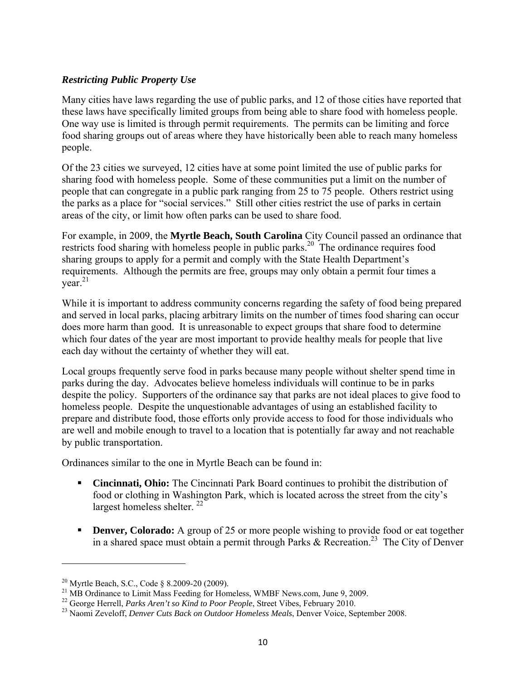#### *Restricting Public Property Use*

Many cities have laws regarding the use of public parks, and 12 of those cities have reported that these laws have specifically limited groups from being able to share food with homeless people. One way use is limited is through permit requirements. The permits can be limiting and force food sharing groups out of areas where they have historically been able to reach many homeless people.

Of the 23 cities we surveyed, 12 cities have at some point limited the use of public parks for sharing food with homeless people. Some of these communities put a limit on the number of people that can congregate in a public park ranging from 25 to 75 people. Others restrict using the parks as a place for "social services." Still other cities restrict the use of parks in certain areas of the city, or limit how often parks can be used to share food.

For example, in 2009, the **Myrtle Beach, South Carolina** City Council passed an ordinance that restricts food sharing with homeless people in public parks.<sup>20</sup> The ordinance requires food sharing groups to apply for a permit and comply with the State Health Department's requirements. Although the permits are free, groups may only obtain a permit four times a  $year<sup>21</sup>$ 

While it is important to address community concerns regarding the safety of food being prepared and served in local parks, placing arbitrary limits on the number of times food sharing can occur does more harm than good. It is unreasonable to expect groups that share food to determine which four dates of the year are most important to provide healthy meals for people that live each day without the certainty of whether they will eat.

Local groups frequently serve food in parks because many people without shelter spend time in parks during the day. Advocates believe homeless individuals will continue to be in parks despite the policy. Supporters of the ordinance say that parks are not ideal places to give food to homeless people. Despite the unquestionable advantages of using an established facility to prepare and distribute food, those efforts only provide access to food for those individuals who are well and mobile enough to travel to a location that is potentially far away and not reachable by public transportation.

Ordinances similar to the one in Myrtle Beach can be found in:

- **Cincinnati, Ohio:** The Cincinnati Park Board continues to prohibit the distribution of food or clothing in Washington Park, which is located across the street from the city's largest homeless shelter.  $^{22}$
- **Denver, Colorado:** A group of 25 or more people wishing to provide food or eat together in a shared space must obtain a permit through Parks  $\&$  Recreation.<sup>23</sup> The City of Denver

<sup>&</sup>lt;sup>20</sup> Myrtle Beach, S.C., Code § 8.2009-20 (2009).<br><sup>21</sup> MB Ordinance to Limit Mass Feeding for Homeless, WMBF News.com, June 9, 2009.<br><sup>22</sup> George Herrell, *Parks Aren't so Kind to Poor People*, Street Vibes, February 2010.

<sup>&</sup>lt;sup>23</sup> Naomi Zeveloff, *Denver Cuts Back on Outdoor Homeless Meals*, Denver Voice, September 2008.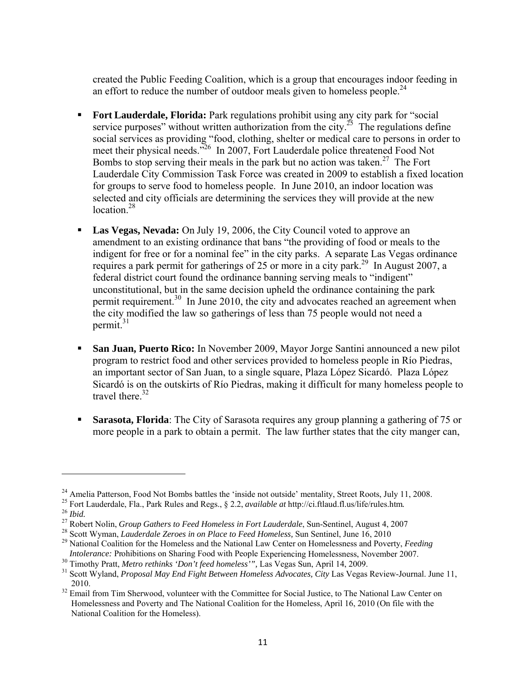created the Public Feeding Coalition, which is a group that encourages indoor feeding in an effort to reduce the number of outdoor meals given to homeless people.<sup>24</sup>

- **Fort Lauderdale, Florida:** Park regulations prohibit using any city park for "social" service purposes" without written authorization from the city.<sup>25</sup> The regulations define social services as providing "food, clothing, shelter or medical care to persons in order to meet their physical needs.<sup>326</sup> In 2007, Fort Lauderdale police threatened Food Not Bombs to stop serving their meals in the park but no action was taken.<sup>27</sup> The Fort Lauderdale City Commission Task Force was created in 2009 to establish a fixed location for groups to serve food to homeless people. In June 2010, an indoor location was selected and city officials are determining the services they will provide at the new location $^{28}$
- **Las Vegas, Nevada:** On July 19, 2006, the City Council voted to approve an amendment to an existing ordinance that bans "the providing of food or meals to the indigent for free or for a nominal fee" in the city parks. A separate Las Vegas ordinance requires a park permit for gatherings of 25 or more in a city park.<sup>29</sup> In August 2007, a federal district court found the ordinance banning serving meals to "indigent" unconstitutional, but in the same decision upheld the ordinance containing the park permit requirement.<sup>30</sup> In June 2010, the city and advocates reached an agreement when the city modified the law so gatherings of less than 75 people would not need a permit. $31$
- **San Juan, Puerto Rico:** In November 2009, Mayor Jorge Santini announced a new pilot program to restrict food and other services provided to homeless people in Río Piedras, an important sector of San Juan, to a single square, Plaza López Sicardó. Plaza López Sicardó is on the outskirts of Río Piedras, making it difficult for many homeless people to travel there  $32$
- **Sarasota, Florida**: The City of Sarasota requires any group planning a gathering of 75 or more people in a park to obtain a permit. The law further states that the city manger can,

<sup>&</sup>lt;sup>24</sup> Amelia Patterson, Food Not Bombs battles the 'inside not outside' mentality, Street Roots, July 11, 2008.

<sup>25</sup> Fort Lauderdale, Fla., Park Rules and Regs., § 2.2, *available at* http://ci.ftlaud.fl.us/life/rules.htm.<br><sup>26</sup> *Ibid.*<br><sup>27</sup> Robert Nolin, *Group Gathers to Feed Homeless in Fort Lauderdale*, Sun-Sentinel, August 4, 2007

<sup>&</sup>lt;sup>28</sup> Scott Wyman, *Lauderdale Zeroes in on Place to Feed Homeless*, Sun Sentinel, June 16, 2010<br><sup>29</sup> National Coalition for the Homeless and the National Law Center on Homelessness and Poverty, *Feeding*<br>*Intolerance:* Pro

<sup>&</sup>lt;sup>30</sup> Timothy Pratt, *Metro rethinks 'Don't feed homeless'*", Las Vegas Sun, April 14, 2009.<br><sup>31</sup> Scott Wyland, *Proposal May End Fight Between Homeless Advocates, City Las Vegas Review-Journal. June 11, 2010.* 

<sup>&</sup>lt;sup>32</sup> Email from Tim Sherwood, volunteer with the Committee for Social Justice, to The National Law Center on Homelessness and Poverty and The National Coalition for the Homeless, April 16, 2010 (On file with the National Coalition for the Homeless).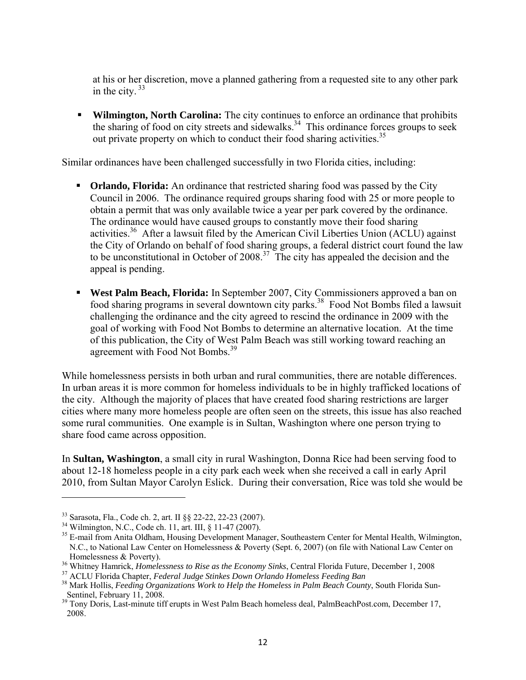at his or her discretion, move a planned gathering from a requested site to any other park in the city.  $33$ 

 **Wilmington, North Carolina:** The city continues to enforce an ordinance that prohibits the sharing of food on city streets and sidewalks.<sup>34</sup> This ordinance forces groups to seek out private property on which to conduct their food sharing activities.<sup>35</sup>

Similar ordinances have been challenged successfully in two Florida cities, including:

- **Orlando, Florida:** An ordinance that restricted sharing food was passed by the City Council in 2006. The ordinance required groups sharing food with 25 or more people to obtain a permit that was only available twice a year per park covered by the ordinance. The ordinance would have caused groups to constantly move their food sharing activities.36 After a lawsuit filed by the American Civil Liberties Union (ACLU) against the City of Orlando on behalf of food sharing groups, a federal district court found the law to be unconstitutional in October of 2008.<sup>37</sup> The city has appealed the decision and the appeal is pending.
- **West Palm Beach, Florida:** In September 2007, City Commissioners approved a ban on food sharing programs in several downtown city parks.38 Food Not Bombs filed a lawsuit challenging the ordinance and the city agreed to rescind the ordinance in 2009 with the goal of working with Food Not Bombs to determine an alternative location. At the time of this publication, the City of West Palm Beach was still working toward reaching an agreement with Food Not Bombs.39

While homelessness persists in both urban and rural communities, there are notable differences. In urban areas it is more common for homeless individuals to be in highly trafficked locations of the city. Although the majority of places that have created food sharing restrictions are larger cities where many more homeless people are often seen on the streets, this issue has also reached some rural communities. One example is in Sultan, Washington where one person trying to share food came across opposition.

In **Sultan, Washington**, a small city in rural Washington, Donna Rice had been serving food to about 12-18 homeless people in a city park each week when she received a call in early April 2010, from Sultan Mayor Carolyn Eslick. During their conversation, Rice was told she would be

<sup>33</sup> Sarasota, Fla., Code ch. 2, art. II §§ 22-22, 22-23 (2007).

<sup>34</sup> Wilmington, N.C., Code ch. 11, art. III, § 11-47 (2007).

<sup>&</sup>lt;sup>35</sup> E-mail from Anita Oldham, Housing Development Manager, Southeastern Center for Mental Health, Wilmington, N.C., to National Law Center on Homelessness & Poverty (Sept. 6, 2007) (on file with National Law Center on <sup>36</sup> Whitney Hamrick, *Homelessness to Rise as the Economy Sinks*, Central Florida Future, December 1, 2008<br><sup>37</sup> ACLU Florida Chapter, *Federal Judge Stinkes Down Orlando Homeless Feeding Ban*<br><sup>38</sup> Mark Hollis, *Feeding O* 

Sentinel, February 11, 2008.

<sup>&</sup>lt;sup>39</sup> Tony Doris, Last-minute tiff erupts in West Palm Beach homeless deal, PalmBeachPost.com, December 17, 2008.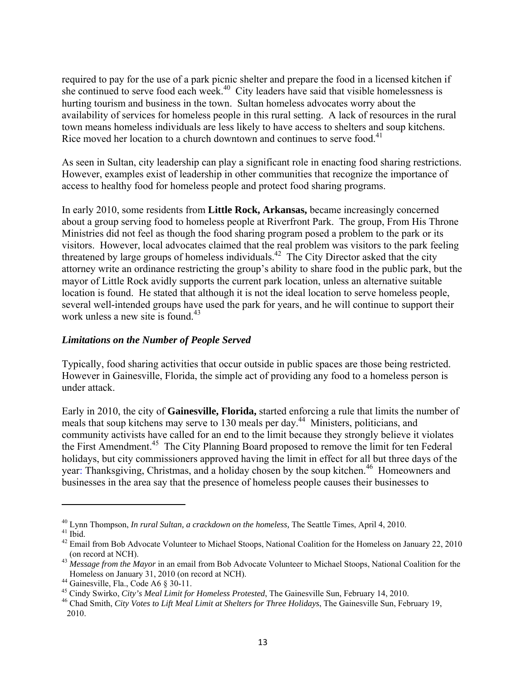required to pay for the use of a park picnic shelter and prepare the food in a licensed kitchen if she continued to serve food each week.<sup>40</sup> City leaders have said that visible homelessness is hurting tourism and business in the town. Sultan homeless advocates worry about the availability of services for homeless people in this rural setting. A lack of resources in the rural town means homeless individuals are less likely to have access to shelters and soup kitchens. Rice moved her location to a church downtown and continues to serve food.<sup>41</sup>

As seen in Sultan, city leadership can play a significant role in enacting food sharing restrictions. However, examples exist of leadership in other communities that recognize the importance of access to healthy food for homeless people and protect food sharing programs.

In early 2010, some residents from **Little Rock, Arkansas,** became increasingly concerned about a group serving food to homeless people at Riverfront Park. The group, From His Throne Ministries did not feel as though the food sharing program posed a problem to the park or its visitors. However, local advocates claimed that the real problem was visitors to the park feeling threatened by large groups of homeless individuals.<sup>42</sup> The City Director asked that the city attorney write an ordinance restricting the group's ability to share food in the public park, but the mayor of Little Rock avidly supports the current park location, unless an alternative suitable location is found. He stated that although it is not the ideal location to serve homeless people, several well-intended groups have used the park for years, and he will continue to support their work unless a new site is found.<sup>43</sup>

#### *Limitations on the Number of People Served*

Typically, food sharing activities that occur outside in public spaces are those being restricted. However in Gainesville, Florida, the simple act of providing any food to a homeless person is under attack.

Early in 2010, the city of **Gainesville, Florida,** started enforcing a rule that limits the number of meals that soup kitchens may serve to 130 meals per day.<sup>44</sup> Ministers, politicians, and community activists have called for an end to the limit because they strongly believe it violates the First Amendment.<sup>45</sup> The City Planning Board proposed to remove the limit for ten Federal holidays, but city commissioners approved having the limit in effect for all but three days of the year: Thanksgiving, Christmas, and a holiday chosen by the soup kitchen.<sup>46</sup> Homeowners and businesses in the area say that the presence of homeless people causes their businesses to

<sup>&</sup>lt;sup>40</sup> Lynn Thompson, *In rural Sultan, a crackdown on the homeless*, The Seattle Times, April 4, 2010.<br><sup>41</sup> Ibid

<sup>&</sup>lt;sup>42</sup> Email from Bob Advocate Volunteer to Michael Stoops, National Coalition for the Homeless on January 22, 2010

<sup>(</sup>on record at NCH). 43 *Message from the Mayor* in an email from Bob Advocate Volunteer to Michael Stoops, National Coalition for the Homeless on January 31, 2010 (on record at NCH).<br><sup>44</sup> Gainesville, Fla., Code A6 § 30-11.<br><sup>45</sup> Cindy Swirko, *City's Meal Limit for Homeless Protested*, The Gainesville Sun, February 14, 2010.

<sup>&</sup>lt;sup>46</sup> Chad Smith, *City Votes to Lift Meal Limit at Shelters for Three Holidays*, The Gainesville Sun, February 19, 2010.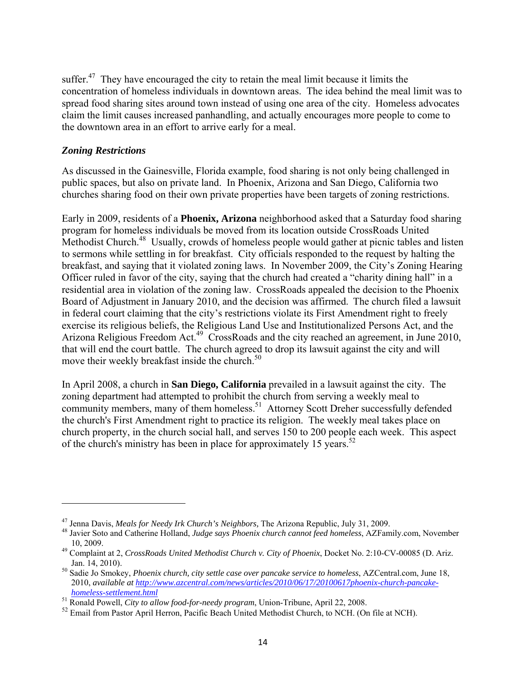suffer.<sup>47</sup> They have encouraged the city to retain the meal limit because it limits the concentration of homeless individuals in downtown areas. The idea behind the meal limit was to spread food sharing sites around town instead of using one area of the city. Homeless advocates claim the limit causes increased panhandling, and actually encourages more people to come to the downtown area in an effort to arrive early for a meal.

#### *Zoning Restrictions*

As discussed in the Gainesville, Florida example, food sharing is not only being challenged in public spaces, but also on private land. In Phoenix, Arizona and San Diego, California two churches sharing food on their own private properties have been targets of zoning restrictions.

Early in 2009, residents of a **Phoenix, Arizona** neighborhood asked that a Saturday food sharing program for homeless individuals be moved from its location outside CrossRoads United Methodist Church.<sup>48</sup> Usually, crowds of homeless people would gather at picnic tables and listen to sermons while settling in for breakfast. City officials responded to the request by halting the breakfast, and saying that it violated zoning laws. In November 2009, the City's Zoning Hearing Officer ruled in favor of the city, saying that the church had created a "charity dining hall" in a residential area in violation of the zoning law. CrossRoads appealed the decision to the Phoenix Board of Adjustment in January 2010, and the decision was affirmed. The church filed a lawsuit in federal court claiming that the city's restrictions violate its First Amendment right to freely exercise its religious beliefs, the Religious Land Use and Institutionalized Persons Act, and the Arizona Religious Freedom Act.<sup>49</sup> CrossRoads and the city reached an agreement, in June 2010, that will end the court battle. The church agreed to drop its lawsuit against the city and will move their weekly breakfast inside the church.<sup>50</sup>

In April 2008, a church in **San Diego, California** prevailed in a lawsuit against the city. The zoning department had attempted to prohibit the church from serving a weekly meal to community members, many of them homeless.<sup>51</sup> Attorney Scott Dreher successfully defended the church's First Amendment right to practice its religion. The weekly meal takes place on church property, in the church social hall, and serves 150 to 200 people each week. This aspect of the church's ministry has been in place for approximately 15 years.<sup>52</sup>

<sup>&</sup>lt;sup>47</sup> Jenna Davis, *Meals for Needy Irk Church's Neighbors*, The Arizona Republic, July 31, 2009.<br><sup>48</sup> Javier Soto and Catherine Holland, *Judge says Phoenix church cannot feed homeless*, AZFamily.com, November 10, 2009. 49 Complaint at 2, *CrossRoads United Methodist Church v. City of Phoenix*, Docket No. 2:10-CV-00085 (D. Ariz.

Jan. 14, 2010). 50 Sadie Jo Smokey, *Phoenix church, city settle case over pancake service to homeless*, AZCentral.com, June 18, 2010, *available at http://www.azcentral.com/news/articles/2010/06/17/20100617phoenix-church-pancakehomeless-settlement.html* 51 Ronald Powell, *City to allow food-for-needy program*, Union-Tribune, April 22, 2008.

<sup>&</sup>lt;sup>52</sup> Email from Pastor April Herron, Pacific Beach United Methodist Church, to NCH. (On file at NCH).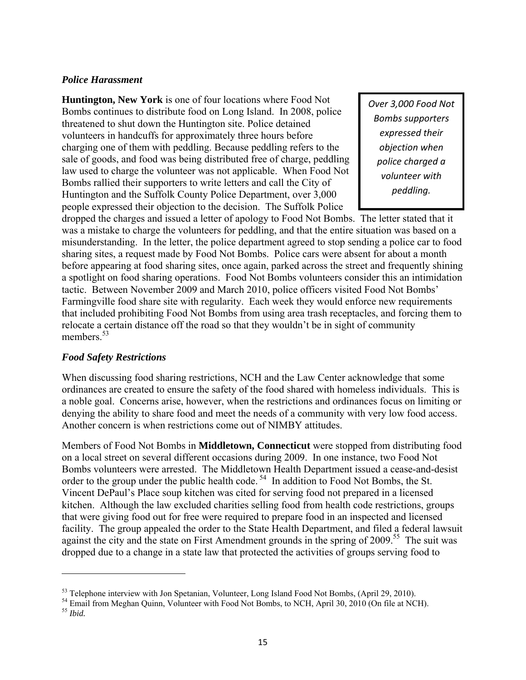#### *Police Harassment*

**Huntington, New York** is one of four locations where Food Not Bombs continues to distribute food on Long Island. In 2008, police threatened to shut down the Huntington site. Police detained volunteers in handcuffs for approximately three hours before charging one of them with peddling. Because peddling refers to the sale of goods, and food was being distributed free of charge, peddling law used to charge the volunteer was not applicable. When Food Not Bombs rallied their supporters to write letters and call the City of Huntington and the Suffolk County Police Department, over 3,000 people expressed their objection to the decision. The Suffolk Police

*Over 3,000 Food Not Bombs supporters expressed their objection when police charged a volunteer with peddling.*

dropped the charges and issued a letter of apology to Food Not Bombs. The letter stated that it was a mistake to charge the volunteers for peddling, and that the entire situation was based on a misunderstanding. In the letter, the police department agreed to stop sending a police car to food sharing sites, a request made by Food Not Bombs. Police cars were absent for about a month before appearing at food sharing sites, once again, parked across the street and frequently shining a spotlight on food sharing operations. Food Not Bombs volunteers consider this an intimidation tactic. Between November 2009 and March 2010, police officers visited Food Not Bombs' Farmingville food share site with regularity. Each week they would enforce new requirements that included prohibiting Food Not Bombs from using area trash receptacles, and forcing them to relocate a certain distance off the road so that they wouldn't be in sight of community members<sup>53</sup>

#### *Food Safety Restrictions*

When discussing food sharing restrictions, NCH and the Law Center acknowledge that some ordinances are created to ensure the safety of the food shared with homeless individuals. This is a noble goal. Concerns arise, however, when the restrictions and ordinances focus on limiting or denying the ability to share food and meet the needs of a community with very low food access. Another concern is when restrictions come out of NIMBY attitudes.

Members of Food Not Bombs in **Middletown, Connecticut** were stopped from distributing food on a local street on several different occasions during 2009. In one instance, two Food Not Bombs volunteers were arrested. The Middletown Health Department issued a cease-and-desist order to the group under the public health code.<sup>54</sup> In addition to Food Not Bombs, the St. Vincent DePaul's Place soup kitchen was cited for serving food not prepared in a licensed kitchen. Although the law excluded charities selling food from health code restrictions, groups that were giving food out for free were required to prepare food in an inspected and licensed facility. The group appealed the order to the State Health Department, and filed a federal lawsuit against the city and the state on First Amendment grounds in the spring of 2009.<sup>55</sup> The suit was dropped due to a change in a state law that protected the activities of groups serving food to

 $^{53}$  Telephone interview with Jon Spetanian, Volunteer, Long Island Food Not Bombs, (April 29, 2010).<br><sup>54</sup> Email from Meghan Quinn, Volunteer with Food Not Bombs, to NCH, April 30, 2010 (On file at NCH).

<sup>55</sup> *Ibid.*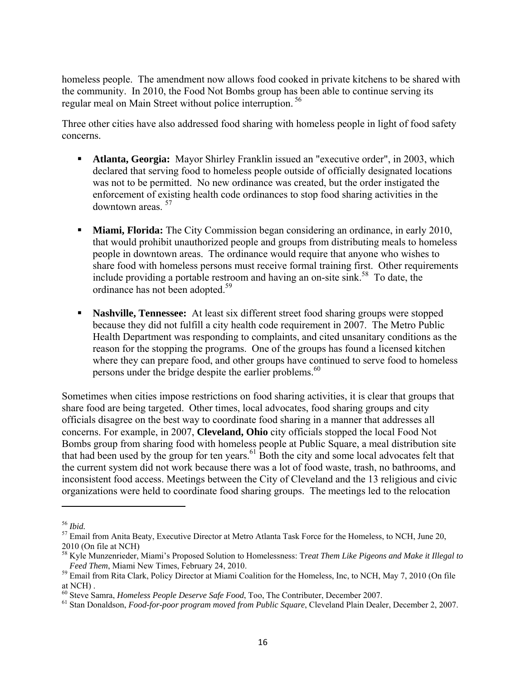homeless people. The amendment now allows food cooked in private kitchens to be shared with the community. In 2010, the Food Not Bombs group has been able to continue serving its regular meal on Main Street without police interruption. 56

Three other cities have also addressed food sharing with homeless people in light of food safety concerns.

- **Atlanta, Georgia:** Mayor Shirley Franklin issued an "executive order", in 2003, which declared that serving food to homeless people outside of officially designated locations was not to be permitted. No new ordinance was created, but the order instigated the enforcement of existing health code ordinances to stop food sharing activities in the downtown areas <sup>57</sup>
- **Miami, Florida:** The City Commission began considering an ordinance, in early 2010, that would prohibit unauthorized people and groups from distributing meals to homeless people in downtown areas. The ordinance would require that anyone who wishes to share food with homeless persons must receive formal training first. Other requirements include providing a portable restroom and having an on-site sink.<sup>58</sup> To date, the ordinance has not been adopted.<sup>59</sup>
- **Nashville, Tennessee:** At least six different street food sharing groups were stopped because they did not fulfill a city health code requirement in 2007. The Metro Public Health Department was responding to complaints, and cited unsanitary conditions as the reason for the stopping the programs. One of the groups has found a licensed kitchen where they can prepare food, and other groups have continued to serve food to homeless persons under the bridge despite the earlier problems.<sup>60</sup>

Sometimes when cities impose restrictions on food sharing activities, it is clear that groups that share food are being targeted. Other times, local advocates, food sharing groups and city officials disagree on the best way to coordinate food sharing in a manner that addresses all concerns. For example, in 2007, **Cleveland, Ohio** city officials stopped the local Food Not Bombs group from sharing food with homeless people at Public Square, a meal distribution site that had been used by the group for ten years.<sup>61</sup> Both the city and some local advocates felt that the current system did not work because there was a lot of food waste, trash, no bathrooms, and inconsistent food access. Meetings between the City of Cleveland and the 13 religious and civic organizations were held to coordinate food sharing groups. The meetings led to the relocation

<sup>&</sup>lt;sup>56</sup> *Ibid.*<br><sup>57</sup> Email from Anita Beaty, Executive Director at Metro Atlanta Task Force for the Homeless, to NCH, June 20, 2010 (On file at NCH)

<sup>58</sup> Kyle Munzenrieder, Miami's Proposed Solution to Homelessness: T*reat Them Like Pigeons and Make it Illegal to Feed Them*, Miami New Times, February 24, 2010.<br><sup>59</sup> Email from Rita Clark, Policy Director at Miami Coalition for the Homeless, Inc, to NCH, May 7, 2010 (On file

at NCH).<br><sup>60</sup> Steve Samra, *Homeless People Deserve Safe Food*, Too, The Contributer, December 2007.

<sup>&</sup>lt;sup>61</sup> Stan Donaldson, *Food-for-poor program moved from Public Square*, Cleveland Plain Dealer, December 2, 2007.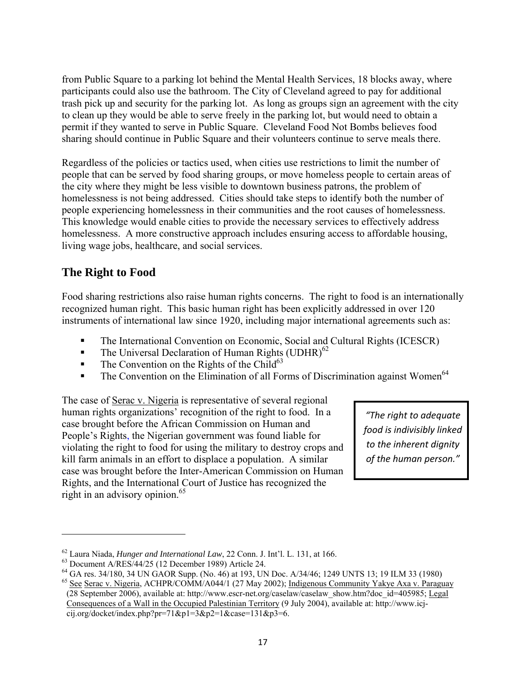from Public Square to a parking lot behind the Mental Health Services, 18 blocks away, where participants could also use the bathroom. The City of Cleveland agreed to pay for additional trash pick up and security for the parking lot. As long as groups sign an agreement with the city to clean up they would be able to serve freely in the parking lot, but would need to obtain a permit if they wanted to serve in Public Square. Cleveland Food Not Bombs believes food sharing should continue in Public Square and their volunteers continue to serve meals there.

Regardless of the policies or tactics used, when cities use restrictions to limit the number of people that can be served by food sharing groups, or move homeless people to certain areas of the city where they might be less visible to downtown business patrons, the problem of homelessness is not being addressed. Cities should take steps to identify both the number of people experiencing homelessness in their communities and the root causes of homelessness. This knowledge would enable cities to provide the necessary services to effectively address homelessness. A more constructive approach includes ensuring access to affordable housing, living wage jobs, healthcare, and social services.

# **The Right to Food**

Food sharing restrictions also raise human rights concerns. The right to food is an internationally recognized human right. This basic human right has been explicitly addressed in over 120 instruments of international law since 1920, including major international agreements such as:

- The International Convention on Economic, Social and Cultural Rights (ICESCR)
- **The Universal Declaration of Human Rights (UDHR)**<sup>62</sup>
- $\blacksquare$  The Convention on the Rights of the Child<sup>63</sup>
- The Convention on the Elimination of all Forms of Discrimination against Women<sup>64</sup>

The case of Serac v. Nigeria is representative of several regional human rights organizations' recognition of the right to food. In a case brought before the African Commission on Human and People's Rights, the Nigerian government was found liable for violating the right to food for using the military to destroy crops and kill farm animals in an effort to displace a population. A similar case was brought before the Inter-American Commission on Human Rights, and the International Court of Justice has recognized the right in an advisory opinion. $65$ 

*"The right to adequate food is indivisibly linked to the inherent dignity of the human person."*

<sup>62</sup> Laura Niada, *Hunger and International Law*, 22 Conn. J. Int'l. L. 131, at 166. 63 Document A/RES/44/25 (12 December 1989) Article 24.

<sup>&</sup>lt;sup>64</sup> GA res. 34/180, 34 UN GAOR Supp. (No. 46) at 193, UN Doc. A/34/46; 1249 UNTS 13; 19 ILM 33 (1980)

<sup>65</sup> See Serac v. Nigeria, ACHPR/COMM/A044/1 (27 May 2002); Indigenous Community Yakye Axa v. Paraguay (28 September 2006), available at: http://www.escr-net.org/caselaw/caselaw\_show.htm?doc\_id=405985; Legal Consequences of a Wall in the Occupied Palestinian Territory (9 July 2004), available at: http://www.icjcij.org/docket/index.php?pr=71&p1=3&p2=1&case=131&p3=6.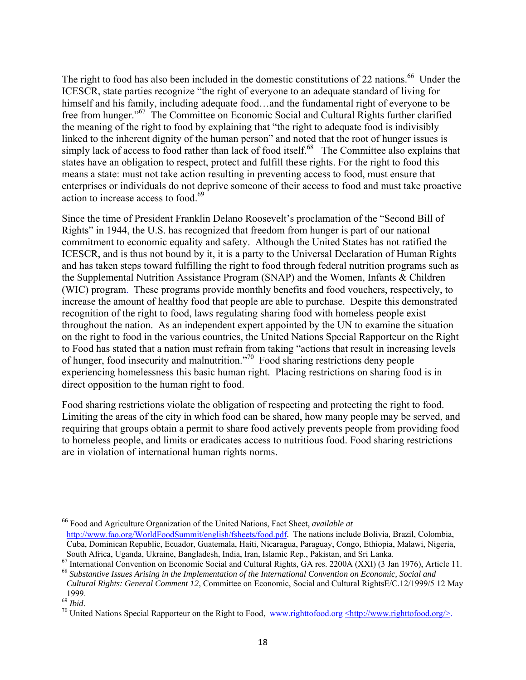The right to food has also been included in the domestic constitutions of 22 nations.<sup>66</sup> Under the ICESCR, state parties recognize "the right of everyone to an adequate standard of living for himself and his family, including adequate food...and the fundamental right of everyone to be free from hunger."67 The Committee on Economic Social and Cultural Rights further clarified the meaning of the right to food by explaining that "the right to adequate food is indivisibly linked to the inherent dignity of the human person" and noted that the root of hunger issues is simply lack of access to food rather than lack of food itself.<sup>68</sup> The Committee also explains that states have an obligation to respect, protect and fulfill these rights. For the right to food this means a state: must not take action resulting in preventing access to food, must ensure that enterprises or individuals do not deprive someone of their access to food and must take proactive action to increase access to food.<sup>69</sup>

Since the time of President Franklin Delano Roosevelt's proclamation of the "Second Bill of Rights" in 1944, the U.S. has recognized that freedom from hunger is part of our national commitment to economic equality and safety. Although the United States has not ratified the ICESCR, and is thus not bound by it, it is a party to the Universal Declaration of Human Rights and has taken steps toward fulfilling the right to food through federal nutrition programs such as the Supplemental Nutrition Assistance Program (SNAP) and the Women, Infants & Children (WIC) program. These programs provide monthly benefits and food vouchers, respectively, to increase the amount of healthy food that people are able to purchase. Despite this demonstrated recognition of the right to food, laws regulating sharing food with homeless people exist throughout the nation. As an independent expert appointed by the UN to examine the situation on the right to food in the various countries, the United Nations Special Rapporteur on the Right to Food has stated that a nation must refrain from taking "actions that result in increasing levels of hunger, food insecurity and malnutrition."70 Food sharing restrictions deny people experiencing homelessness this basic human right. Placing restrictions on sharing food is in direct opposition to the human right to food.

Food sharing restrictions violate the obligation of respecting and protecting the right to food. Limiting the areas of the city in which food can be shared, how many people may be served, and requiring that groups obtain a permit to share food actively prevents people from providing food to homeless people, and limits or eradicates access to nutritious food. Food sharing restrictions are in violation of international human rights norms.

<sup>66</sup> Food and Agriculture Organization of the United Nations, Fact Sheet, *available at*  http://www.fao.org/WorldFoodSummit/english/fsheets/food.pdf. The nations include Bolivia, Brazil, Colombia, Cuba, Dominican Republic, Ecuador, Guatemala, Haiti, Nicaragua, Paraguay, Congo, Ethiopia, Malawi, Nigeria, South Africa, Uganda, Ukraine, Bangladesh, India, Iran, Islamic Rep., Pakistan, and Sri Lanka.

<sup>67</sup> International Convention on Economic Social and Cultural Rights, GA res. 2200A (XXI) (3 Jan 1976), Article 11. <sup>68</sup> *Substantive Issues Arising in the Implementation of the International Convention on Economic, Social and* 

*Cultural Rights: General Comment 12*, Committee on Economic, Social and Cultural RightsE/C.12/1999/5 12 May  $1999.$ <sup>69</sup> Ibid.

<sup>&</sup>lt;sup>70</sup> United Nations Special Rapporteur on the Right to Food, www.righttofood.org <http://www.righttofood.org/>.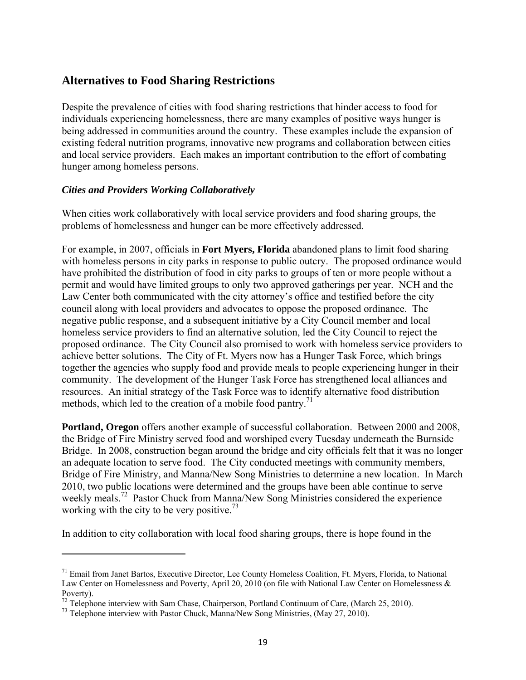# **Alternatives to Food Sharing Restrictions**

Despite the prevalence of cities with food sharing restrictions that hinder access to food for individuals experiencing homelessness, there are many examples of positive ways hunger is being addressed in communities around the country. These examples include the expansion of existing federal nutrition programs, innovative new programs and collaboration between cities and local service providers. Each makes an important contribution to the effort of combating hunger among homeless persons.

#### *Cities and Providers Working Collaboratively*

When cities work collaboratively with local service providers and food sharing groups, the problems of homelessness and hunger can be more effectively addressed.

For example, in 2007, officials in **Fort Myers, Florida** abandoned plans to limit food sharing with homeless persons in city parks in response to public outcry. The proposed ordinance would have prohibited the distribution of food in city parks to groups of ten or more people without a permit and would have limited groups to only two approved gatherings per year. NCH and the Law Center both communicated with the city attorney's office and testified before the city council along with local providers and advocates to oppose the proposed ordinance. The negative public response, and a subsequent initiative by a City Council member and local homeless service providers to find an alternative solution, led the City Council to reject the proposed ordinance. The City Council also promised to work with homeless service providers to achieve better solutions. The City of Ft. Myers now has a Hunger Task Force, which brings together the agencies who supply food and provide meals to people experiencing hunger in their community. The development of the Hunger Task Force has strengthened local alliances and resources. An initial strategy of the Task Force was to identify alternative food distribution methods, which led to the creation of a mobile food pantry.<sup>71</sup>

**Portland, Oregon** offers another example of successful collaboration. Between 2000 and 2008, the Bridge of Fire Ministry served food and worshiped every Tuesday underneath the Burnside Bridge. In 2008, construction began around the bridge and city officials felt that it was no longer an adequate location to serve food. The City conducted meetings with community members, Bridge of Fire Ministry, and Manna/New Song Ministries to determine a new location. In March 2010, two public locations were determined and the groups have been able continue to serve weekly meals.<sup>72</sup> Pastor Chuck from Manna/New Song Ministries considered the experience working with the city to be very positive.<sup>73</sup>

In addition to city collaboration with local food sharing groups, there is hope found in the

<sup>&</sup>lt;sup>71</sup> Email from Janet Bartos, Executive Director, Lee County Homeless Coalition, Ft. Myers, Florida, to National Law Center on Homelessness and Poverty, April 20, 2010 (on file with National Law Center on Homelessness & Poverty).

<sup>&</sup>lt;sup>72</sup> Telephone interview with Sam Chase, Chairperson, Portland Continuum of Care, (March 25, 2010).<br><sup>73</sup> Telephone interview with Pastor Chuck, Manna/New Song Ministries, (May 27, 2010).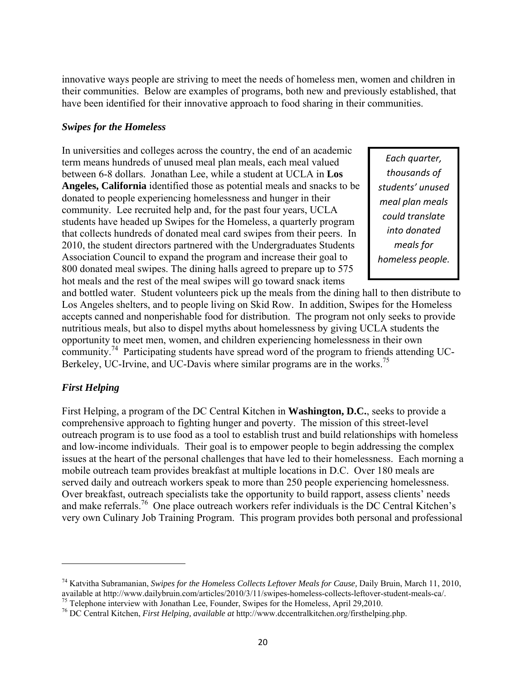innovative ways people are striving to meet the needs of homeless men, women and children in their communities. Below are examples of programs, both new and previously established, that have been identified for their innovative approach to food sharing in their communities.

#### *Swipes for the Homeless*

In universities and colleges across the country, the end of an academic term means hundreds of unused meal plan meals, each meal valued between 6-8 dollars. Jonathan Lee, while a student at UCLA in **Los Angeles, California** identified those as potential meals and snacks to be donated to people experiencing homelessness and hunger in their community. Lee recruited help and, for the past four years, UCLA students have headed up Swipes for the Homeless, a quarterly program that collects hundreds of donated meal card swipes from their peers. In 2010, the student directors partnered with the Undergraduates Students Association Council to expand the program and increase their goal to 800 donated meal swipes. The dining halls agreed to prepare up to 575 hot meals and the rest of the meal swipes will go toward snack items

*Each quarter, thousands of students' unused meal plan meals could translate into donated meals for homeless people.*

and bottled water. Student volunteers pick up the meals from the dining hall to then distribute to Los Angeles shelters, and to people living on Skid Row. In addition, Swipes for the Homeless accepts canned and nonperishable food for distribution. The program not only seeks to provide nutritious meals, but also to dispel myths about homelessness by giving UCLA students the opportunity to meet men, women, and children experiencing homelessness in their own community.<sup>74</sup> Participating students have spread word of the program to friends attending UC-Berkeley, UC-Irvine, and UC-Davis where similar programs are in the works.<sup>75</sup>

#### *First Helping*

First Helping, a program of the DC Central Kitchen in **Washington, D.C.**, seeks to provide a comprehensive approach to fighting hunger and poverty. The mission of this street-level outreach program is to use food as a tool to establish trust and build relationships with homeless and low-income individuals. Their goal is to empower people to begin addressing the complex issues at the heart of the personal challenges that have led to their homelessness. Each morning a mobile outreach team provides breakfast at multiple locations in D.C. Over 180 meals are served daily and outreach workers speak to more than 250 people experiencing homelessness. Over breakfast, outreach specialists take the opportunity to build rapport, assess clients' needs and make referrals.<sup>76</sup> One place outreach workers refer individuals is the DC Central Kitchen's very own Culinary Job Training Program. This program provides both personal and professional

<sup>&</sup>lt;sup>74</sup> Katvitha Subramanian, *Swipes for the Homeless Collects Leftover Meals for Cause*, Daily Bruin, March 11, 2010, available at http://www.dailybruin.com/articles/2010/3/11/swipes-homeless-collects-leftover-student-meals

<sup>&</sup>lt;sup>75</sup> Telephone interview with Jonathan Lee, Founder, Swipes for the Homeless, April 29,2010.<br><sup>76</sup> DC Central Kitchen, *First Helping, available at* http://www.dccentralkitchen.org/firsthelping.php.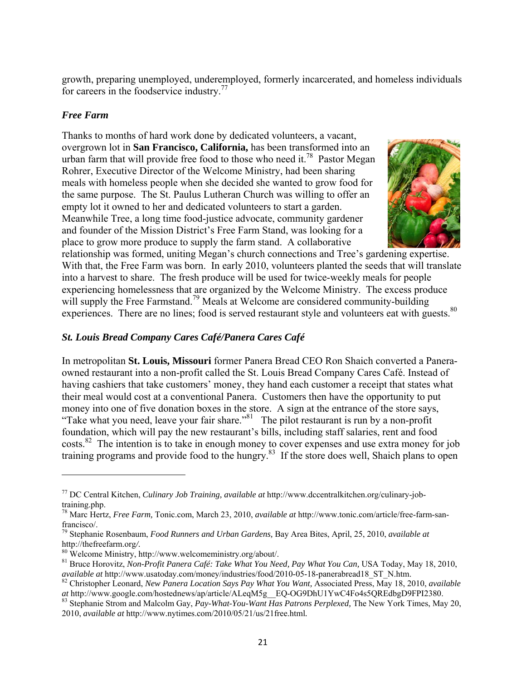growth, preparing unemployed, underemployed, formerly incarcerated, and homeless individuals for careers in the foodservice industry.77

#### *Free Farm*

Thanks to months of hard work done by dedicated volunteers, a vacant, overgrown lot in **San Francisco, California,** has been transformed into an urban farm that will provide free food to those who need it.<sup>78</sup> Pastor Megan Rohrer, Executive Director of the Welcome Ministry, had been sharing meals with homeless people when she decided she wanted to grow food for the same purpose. The St. Paulus Lutheran Church was willing to offer an empty lot it owned to her and dedicated volunteers to start a garden. Meanwhile Tree, a long time food-justice advocate, community gardener and founder of the Mission District's Free Farm Stand, was looking for a place to grow more produce to supply the farm stand. A collaborative



relationship was formed, uniting Megan's church connections and Tree's gardening expertise. With that, the Free Farm was born. In early 2010, volunteers planted the seeds that will translate into a harvest to share. The fresh produce will be used for twice-weekly meals for people experiencing homelessness that are organized by the Welcome Ministry. The excess produce will supply the Free Farmstand.<sup>79</sup> Meals at Welcome are considered community-building experiences. There are no lines; food is served restaurant style and volunteers eat with guests.<sup>80</sup>

#### *St. Louis Bread Company Cares Café/Panera Cares Café*

In metropolitan **St. Louis, Missouri** former Panera Bread CEO Ron Shaich converted a Paneraowned restaurant into a non-profit called the St. Louis Bread Company Cares Café. Instead of having cashiers that take customers' money, they hand each customer a receipt that states what their meal would cost at a conventional Panera. Customers then have the opportunity to put money into one of five donation boxes in the store. A sign at the entrance of the store says, "Take what you need, leave your fair share."<sup>81</sup> The pilot restaurant is run by a non-profit foundation, which will pay the new restaurant's bills, including staff salaries, rent and food costs.<sup>82</sup> The intention is to take in enough money to cover expenses and use extra money for job training programs and provide food to the hungry.<sup>83</sup> If the store does well, Shaich plans to open

<sup>77</sup> DC Central Kitchen, *Culinary Job Training, available at* http://www.dccentralkitchen.org/culinary-jobtraining.php.

<sup>78</sup> Marc Hertz, *Free Farm,* Tonic.com, March 23, 2010, *available at* http://www.tonic.com/article/free-farm-sanfrancisco/.

<sup>79</sup> Stephanie Rosenbaum, *Food Runners and Urban Gardens,* Bay Area Bites, April, 25, 2010, *available at*  http://thefreefarm.org*/.* 80 Welcome Ministry, http://www.welcomeministry.org/about/.

<sup>&</sup>lt;sup>81</sup> Bruce Horovitz, *Non-Profit Panera Café: Take What You Need, Pay What You Can*, USA Today, May 18, 2010, *available at http://www.usatoday.com/money/industries/food/2010-05-18-panerabread18 ST N.htm.* 

<sup>&</sup>lt;sup>82</sup> Christopher Leonard, *New Panera Location Says Pay What You Want*, Associated Press, May 18, 2010, *available at* http://www.google.com/hostednews/ap/article/ALeqM5g EQ-OG9DhU1YwC4Fo4s5QREdbgD9FPI2380.

<sup>&</sup>lt;sup>83</sup> Stephanie Strom and Malcolm Gay, *Pay-What-You-Want Has Patrons Perplexed*, The New York Times, May 20, 2010, *available at* http://www.nytimes.com/2010/05/21/us/21free.html*.*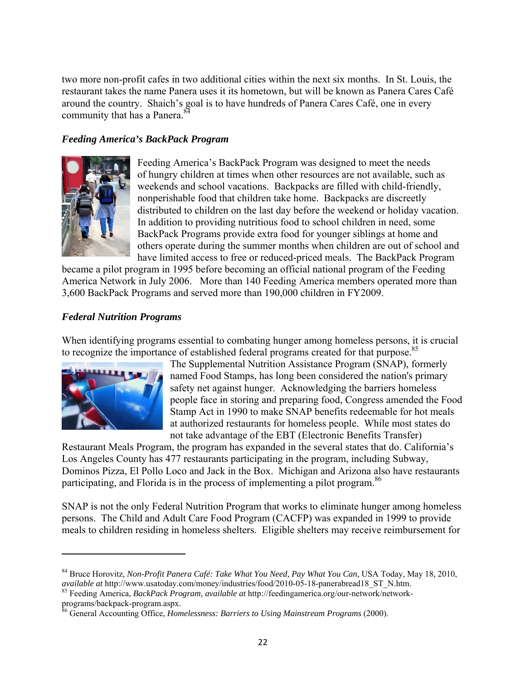two more non-profit cafes in two additional cities within the next six months. In St. Louis, the restaurant takes the name Panera uses it its hometown, but will be known as Panera Cares Café around the country. Shaich's goal is to have hundreds of Panera Cares Café, one in every community that has a Panera.<sup>84</sup>

#### *Feeding America's BackPack Program*



Feeding America's BackPack Program was designed to meet the needs of hungry children at times when other resources are not available, such as weekends and school vacations. Backpacks are filled with child-friendly, nonperishable food that children take home. Backpacks are discreetly distributed to children on the last day before the weekend or holiday vacation. In addition to providing nutritious food to school children in need, some BackPack Programs provide extra food for younger siblings at home and others operate during the summer months when children are out of school and have limited access to free or reduced-priced meals. The BackPack Program

became a pilot program in 1995 before becoming an official national program of the Feeding America Network in July 2006. More than 140 Feeding America members operated more than 3,600 BackPack Programs and served more than 190,000 children in FY2009.

#### *Federal Nutrition Programs*

When identifying programs essential to combating hunger among homeless persons, it is crucial to recognize the importance of established federal programs created for that purpose.<sup>85</sup>



The Supplemental Nutrition Assistance Program (SNAP), formerly named Food Stamps, has long been considered the nation's primary safety net against hunger. Acknowledging the barriers homeless people face in storing and preparing food, Congress amended the Food Stamp Act in 1990 to make SNAP benefits redeemable for hot meals at authorized restaurants for homeless people. While most states do not take advantage of the EBT (Electronic Benefits Transfer)

Restaurant Meals Program, the program has expanded in the several states that do. California's Los Angeles County has 477 restaurants participating in the program, including Subway, Dominos Pizza, El Pollo Loco and Jack in the Box. Michigan and Arizona also have restaurants participating, and Florida is in the process of implementing a pilot program.<sup>86</sup>

SNAP is not the only Federal Nutrition Program that works to eliminate hunger among homeless persons. The Child and Adult Care Food Program (CACFP) was expanded in 1999 to provide meals to children residing in homeless shelters. Eligible shelters may receive reimbursement for

<sup>84</sup> Bruce Horovitz, *Non-Profit Panera Café: Take What You Need, Pay What You Can,* USA Today, May 18, 2010, *available at* http://www.usatoday.com/money/industries/food/2010-05-18-panerabread18\_ST\_N.htm. 85 Feeding America, *BackPack Program, available at* http://feedingamerica.org/our-network/network-

programs/backpack-program.aspx.

<sup>86</sup> General Accounting Office, *Homelessness: Barriers to Using Mainstream Programs* (2000).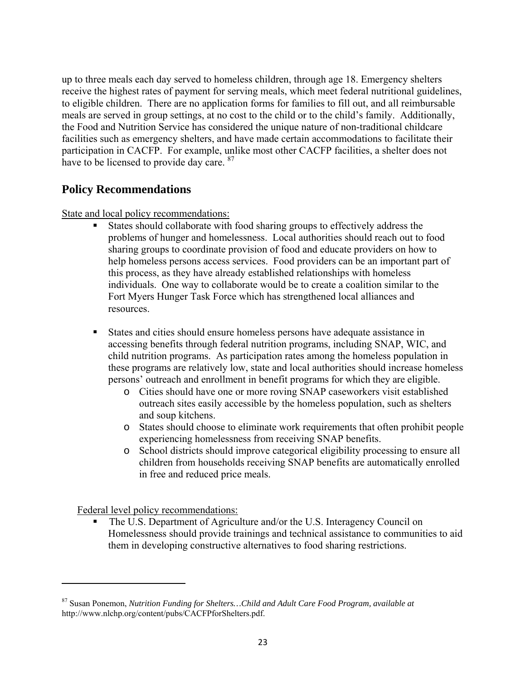up to three meals each day served to homeless children, through age 18. Emergency shelters receive the highest rates of payment for serving meals, which meet federal nutritional guidelines, to eligible children. There are no application forms for families to fill out, and all reimbursable meals are served in group settings, at no cost to the child or to the child's family. Additionally, the Food and Nutrition Service has considered the unique nature of non-traditional childcare facilities such as emergency shelters, and have made certain accommodations to facilitate their participation in CACFP. For example, unlike most other CACFP facilities, a shelter does not have to be licensed to provide day care. <sup>87</sup>

# **Policy Recommendations**

State and local policy recommendations:

- States should collaborate with food sharing groups to effectively address the problems of hunger and homelessness. Local authorities should reach out to food sharing groups to coordinate provision of food and educate providers on how to help homeless persons access services. Food providers can be an important part of this process, as they have already established relationships with homeless individuals. One way to collaborate would be to create a coalition similar to the Fort Myers Hunger Task Force which has strengthened local alliances and resources.
- States and cities should ensure homeless persons have adequate assistance in accessing benefits through federal nutrition programs, including SNAP, WIC, and child nutrition programs. As participation rates among the homeless population in these programs are relatively low, state and local authorities should increase homeless persons' outreach and enrollment in benefit programs for which they are eligible.
	- o Cities should have one or more roving SNAP caseworkers visit established outreach sites easily accessible by the homeless population, such as shelters and soup kitchens.
	- o States should choose to eliminate work requirements that often prohibit people experiencing homelessness from receiving SNAP benefits.
	- o School districts should improve categorical eligibility processing to ensure all children from households receiving SNAP benefits are automatically enrolled in free and reduced price meals.

Federal level policy recommendations:

• The U.S. Department of Agriculture and/or the U.S. Interagency Council on Homelessness should provide trainings and technical assistance to communities to aid them in developing constructive alternatives to food sharing restrictions.

<sup>87</sup> Susan Ponemon, *Nutrition Funding for Shelters…Child and Adult Care Food Program, available at*  http://www.nlchp.org/content/pubs/CACFPforShelters.pdf.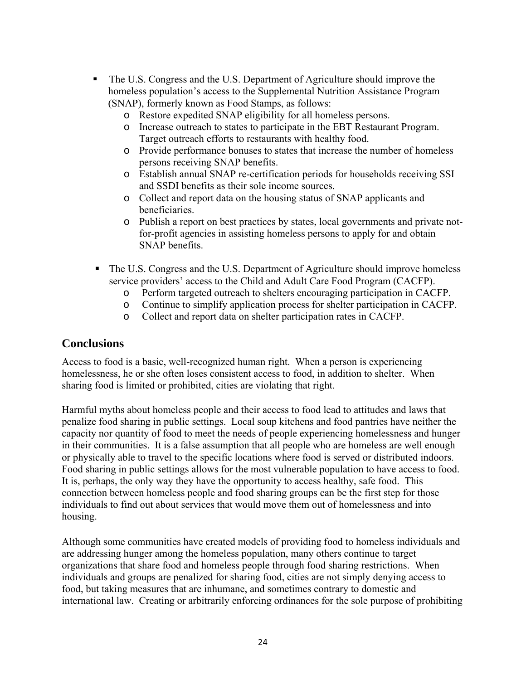- The U.S. Congress and the U.S. Department of Agriculture should improve the homeless population's access to the Supplemental Nutrition Assistance Program (SNAP), formerly known as Food Stamps, as follows:
	- o Restore expedited SNAP eligibility for all homeless persons.
	- o Increase outreach to states to participate in the EBT Restaurant Program. Target outreach efforts to restaurants with healthy food.
	- o Provide performance bonuses to states that increase the number of homeless persons receiving SNAP benefits.
	- o Establish annual SNAP re-certification periods for households receiving SSI and SSDI benefits as their sole income sources.
	- o Collect and report data on the housing status of SNAP applicants and beneficiaries.
	- o Publish a report on best practices by states, local governments and private notfor-profit agencies in assisting homeless persons to apply for and obtain SNAP benefits.
- The U.S. Congress and the U.S. Department of Agriculture should improve homeless service providers' access to the Child and Adult Care Food Program (CACFP).
	- o Perform targeted outreach to shelters encouraging participation in CACFP.
	- o Continue to simplify application process for shelter participation in CACFP.
	- o Collect and report data on shelter participation rates in CACFP.

### **Conclusions**

Access to food is a basic, well-recognized human right. When a person is experiencing homelessness, he or she often loses consistent access to food, in addition to shelter. When sharing food is limited or prohibited, cities are violating that right.

Harmful myths about homeless people and their access to food lead to attitudes and laws that penalize food sharing in public settings. Local soup kitchens and food pantries have neither the capacity nor quantity of food to meet the needs of people experiencing homelessness and hunger in their communities. It is a false assumption that all people who are homeless are well enough or physically able to travel to the specific locations where food is served or distributed indoors. Food sharing in public settings allows for the most vulnerable population to have access to food. It is, perhaps, the only way they have the opportunity to access healthy, safe food. This connection between homeless people and food sharing groups can be the first step for those individuals to find out about services that would move them out of homelessness and into housing.

Although some communities have created models of providing food to homeless individuals and are addressing hunger among the homeless population, many others continue to target organizations that share food and homeless people through food sharing restrictions. When individuals and groups are penalized for sharing food, cities are not simply denying access to food, but taking measures that are inhumane, and sometimes contrary to domestic and international law. Creating or arbitrarily enforcing ordinances for the sole purpose of prohibiting